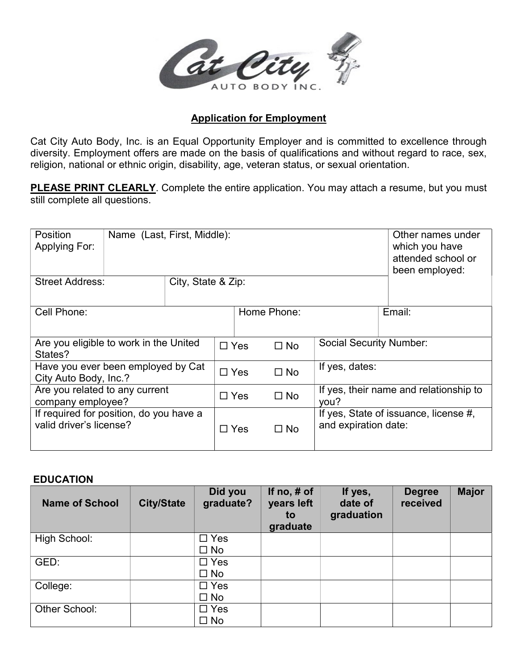

## Application for Employment

Cat City Auto Body, Inc. is an Equal Opportunity Employer and is committed to excellence through diversity. Employment offers are made on the basis of qualifications and without regard to race, sex, religion, national or ethnic origin, disability, age, veteran status, or sexual orientation.

PLEASE PRINT CLEARLY. Complete the entire application. You may attach a resume, but you must still complete all questions.

| <b>Position</b><br><b>Applying For:</b>                            | Name (Last, First, Middle): |  |            |             |                                                               | Other names under<br>which you have<br>attended school or<br>been employed: |  |
|--------------------------------------------------------------------|-----------------------------|--|------------|-------------|---------------------------------------------------------------|-----------------------------------------------------------------------------|--|
| <b>Street Address:</b><br>City, State & Zip:                       |                             |  |            |             |                                                               |                                                                             |  |
| Cell Phone:                                                        |                             |  |            | Home Phone: |                                                               | Email:                                                                      |  |
| Are you eligible to work in the United<br>States?                  |                             |  |            | $\Box$ Yes  | $\Box$ No                                                     | <b>Social Security Number:</b>                                              |  |
| Have you ever been employed by Cat<br>City Auto Body, Inc.?        |                             |  |            | $\Box$ Yes  | $\Box$ No                                                     | If yes, dates:                                                              |  |
| Are you related to any current<br>company employee?                |                             |  |            | $\Box$ Yes  | $\Box$ No                                                     | If yes, their name and relationship to<br>you?                              |  |
| If required for position, do you have a<br>valid driver's license? |                             |  | $\Box$ Yes | $\Box$ No   | If yes, State of issuance, license #,<br>and expiration date: |                                                                             |  |

## EDUCATION

| <b>Name of School</b> | <b>City/State</b> | Did you<br>graduate? | If $no, \# of$<br>years left<br>to<br>graduate | If yes,<br>date of<br>graduation | <b>Degree</b><br>received | <b>Major</b> |
|-----------------------|-------------------|----------------------|------------------------------------------------|----------------------------------|---------------------------|--------------|
| High School:          |                   | $\Box$ Yes           |                                                |                                  |                           |              |
|                       |                   | $\Box$ No            |                                                |                                  |                           |              |
| GED:                  |                   | $\Box$ Yes           |                                                |                                  |                           |              |
|                       |                   | $\square$ No         |                                                |                                  |                           |              |
| College:              |                   | $\Box$ Yes           |                                                |                                  |                           |              |
|                       |                   | $\square$ No         |                                                |                                  |                           |              |
| Other School:         |                   | $\Box$ Yes           |                                                |                                  |                           |              |
|                       |                   | $\square$ No         |                                                |                                  |                           |              |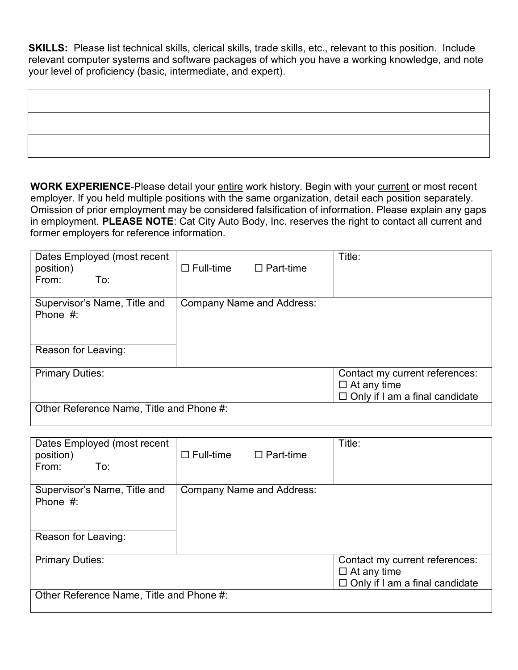SKILLS: Please list technical skills, clerical skills, trade skills, etc., relevant to this position. Include relevant computer systems and software packages of which you have a working knowledge, and note your level of proficiency (basic, intermediate, and expert).

WORK EXPERIENCE-Please detail your entire work history. Begin with your current or most recent employer. If you held multiple positions with the same organization, detail each position separately. Omission of prior employment may be considered falsification of information. Please explain any gaps in employment. PLEASE NOTE: Cat City Auto Body, Inc. reserves the right to contact all current and former employers for reference information.

| Dates Employed (most recent<br>position)<br>From:<br>To: | $\square$ Full-time | $\Box$ Part-time                 | Title:                                                      |
|----------------------------------------------------------|---------------------|----------------------------------|-------------------------------------------------------------|
| Supervisor's Name, Title and<br>Phone $#$ :              |                     | <b>Company Name and Address:</b> |                                                             |
|                                                          |                     |                                  |                                                             |
| Reason for Leaving:                                      |                     |                                  |                                                             |
| <b>Primary Duties:</b>                                   |                     |                                  | Contact my current references:                              |
|                                                          |                     |                                  | $\Box$ At any time<br>$\Box$ Only if I am a final candidate |
| Other Reference Name, Title and Phone #:                 |                     |                                  |                                                             |

| Dates Employed (most recent<br>position)<br>From:<br>To: | $\Box$ Full-time $\Box$ Part-time |                                  | Title:                                                                                        |  |  |
|----------------------------------------------------------|-----------------------------------|----------------------------------|-----------------------------------------------------------------------------------------------|--|--|
| Supervisor's Name, Title and<br>Phone $#$ :              |                                   | <b>Company Name and Address:</b> |                                                                                               |  |  |
| Reason for Leaving:                                      |                                   |                                  |                                                                                               |  |  |
| <b>Primary Duties:</b>                                   |                                   |                                  | Contact my current references:<br>$\Box$ At any time<br>$\Box$ Only if I am a final candidate |  |  |
| Other Reference Name, Title and Phone #:                 |                                   |                                  |                                                                                               |  |  |